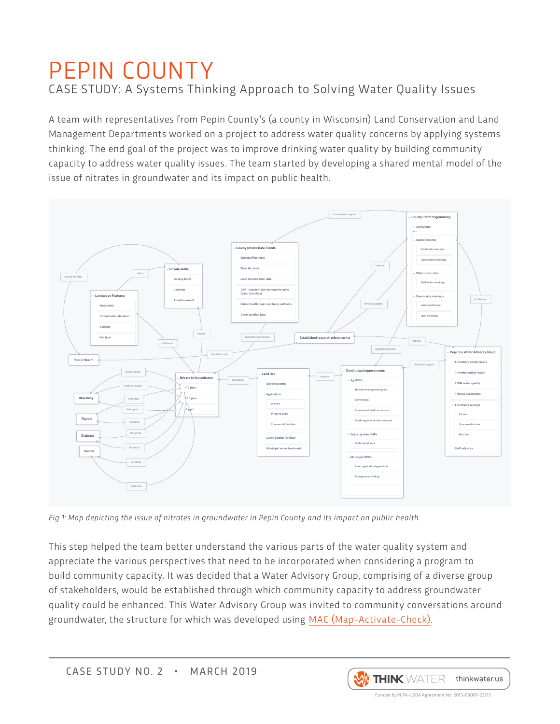## PEPIN COUNTY CASE STUDY: A Systems Thinking Approach to Solving Water Quality Issues

A team with representatives from Pepin County's (a county in Wisconsin) Land Conservation and Land Management Departments worked on a project to address water quality concerns by applying systems thinking. The end goal of the project was to improve drinking water quality by building community capacity to address water quality issues. The team started by developing a shared mental model of the issue of nitrates in groundwater and its impact on public health.



Fig 1: Map depicting the issue of nitrates in groundwater in Pepin County and its impact on public health

This step helped the team better understand the various parts of the water quality system and appreciate the various perspectives that need to be incorporated when considering a program to build community capacity. It was decided that a Water Advisory Group, comprising of a diverse group of stakeholders, would be established through which community capacity to address groundwater quality could be enhanced. This Water Advisory Group was invited to community conversations around groundwater, the structure for which was developed using [MAC \(Map-Activate-Check\)](https://static.wixstatic.com/ugd/329040_f6520f48774144eca78a105a2cc2e2cb.pdf).